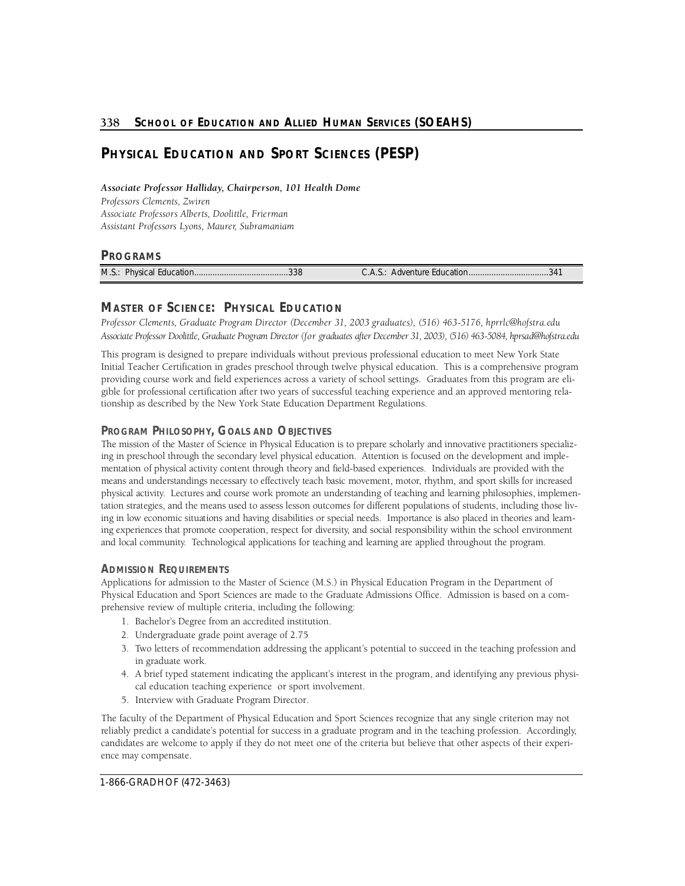# **PHYSICAL EDUCATION AND SPORT SCIENCES (PESP)**

 *Associate Professor Halliday, Chairperson, 101 Health Dome* 

*P rofessors Clements, Zwire n*  Associate Professors Alberts, Doolittle, Frierman *Assistant Professors Lyons, Maure r, Subramaniam* 

# **PROGRAMS**

M.S.: Physical Education. . . . . . . . . . . . . . . . . . . . . . . . . . . . . . . . . . . . . . . . .3 3 8 C.A.S.: A dventure Education. . . . . . . . . . . . . . . . . . . . . . . . . . . . . . . . . . .3 4 1

# **MASTER OF SCIENCE: PHYSICAL EDUCATION**

 *P rofessor Clements, Graduate Program Director (December 31, 2003 graduates), (516) 463-5176, hprrlc@hofstra.edu*  Associate Professor Doolittle, Graduate Program Director (for graduates after December 31, 2003), (516) 463-5084, hprsad@hofstra.edu

This program is designed to prepare individuals without previous professional education to meet New York State Initial Teacher Certification in grades preschool through twelve physical education. This is a comprehensive program providing course work and field experiences across a variety of school settings. Graduates from this program are eligible for professional certification after two years of successful teaching experience and an approved mentoring relationship as described by the New York State Education Department Regulations.

# **PROGRAM PHILOSOPHY, GOALS AND OBJECTIVES**

 ing in preschool through the secondary level physical education. Attention is focused on the development and imple- mentation of physical activity content through theory and field-based experiences. Individuals are provided with the means and understandings necessary to effectively teach basic movement, motor, rhythm, and sport skills for increased physical activity. Lectures and course work promote an understanding of teaching and learning philosophies, implementation strategies, and the means used to assess lesson outcomes for different populations of students, including those liv- ing in low economic situations and having disabilities or special needs. Importance is also placed in theories and learning experiences that promote cooperation, respect for diversity, and social responsibility within the school environment and local community. Technological applications for teaching and learning are applied throughout the program. The mission of the Master of Science in Physical Education is to prepare scholarly and innovative practitioners specializ-

# **ADMISSION REQUIREMENTS**

Applications for admission to the Master of Science (M.S.) in Physical Education Program in the Department of Physical Education and Sport Sciences are made to the Graduate Admissions Office. Admission is based on a comprehensive review of multiple criteria, including the following:

- 1. Bachelor's Degree from an accredited institution.
- 2. Undergraduate grade point average of 2.75
- 3. Two letters of recommendation addressing the applicant's potential to succeed in the teaching profession and in graduate work.
- 4. A brief typed statement indicating the applicant's interest in the program, and identifying any previous physical education teaching experience or sport involvement.
- 5. Interview with Graduate Program Director.

The faculty of the Department of Physical Education and Sport Sciences recognize that any single criterion may not reliably predict a candidate's potential for success in a graduate program and in the teaching profession. Accordingly, candidates are welcome to apply if they do not meet one of the criteria but believe that other aspects of their experience may compensate.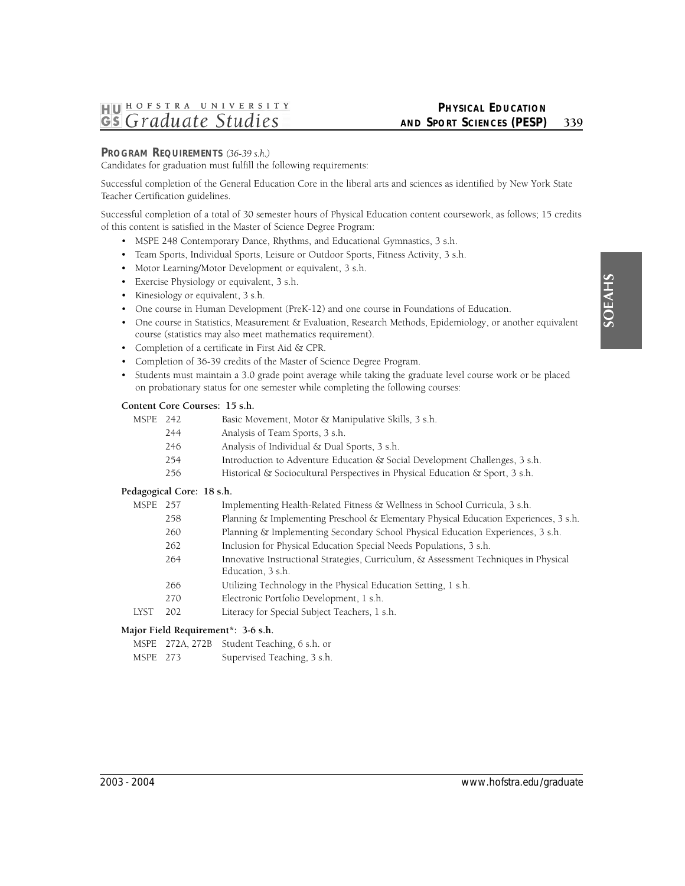# HUHOFSTRA UNIVERSITY Gs Graduate Studies

# **PHYSICAL EDUCATION AND SPORT SCIENCES (PESP)** 339

# **PROGRAM REQUIREMENTS** *(36-39 s.h.)*

Candidates for graduation must fulfill the following requirements:

Successful completion of the General Education Core in the liberal arts and sciences as identified by New York State Teacher Certification guidelines.

Successful completion of a total of 30 semester hours of Physical Education content coursework, as follows; 15 credits of this content is satisfied in the Master of Science Degree Program:

- MSPE 248 Contemporary Dance, Rhythms, and Educational Gymnastics, 3 s.h.
- Team Sports, Individual Sports, Leisure or Outdoor Sports, Fitness Activity, 3 s.h.
- Motor Learning/Motor Development or equivalent, 3 s.h.
- Exercise Physiology or equivalent, 3 s.h.
- Kinesiology or equivalent, 3 s.h.
- One course in Human Development (PreK-12) and one course in Foundations of Education.
- One course in Statistics, Measurement & Evaluation, Research Methods, Epidemiology, or another equivalent course (statistics may also meet mathematics requirement).
- Completion of a certificate in First Aid & CPR.
- Completion of 36-39 credits of the Master of Science Degree Program.
- Students must maintain a 3.0 grade point average while taking the graduate level course work or be placed on probationary status for one semester while completing the following courses:

# **Content Core Courses: 15 s.h.**

| MSPE 242 |     | Basic Movement, Motor & Manipulative Skills, 3 s.h. |
|----------|-----|-----------------------------------------------------|
|          | 711 |                                                     |

- 244 Analysis of Team Sports, 3 s.h.
- 246 Analysis of Individual & Dual Sports, 3 s.h.
- 254 Introduction to Adventure Education & Social Development Challenges, 3 s.h.
- 256 Historical & Sociocultural Perspectives in Physical Education & Sport, 3 s.h.

## **Pedagogical Core: 18 s.h.**

| MSPE                                                                 | 257 | Implementing Health-Related Fitness & Wellness in School Curricula, 3 s.h.            |  |
|----------------------------------------------------------------------|-----|---------------------------------------------------------------------------------------|--|
|                                                                      | 258 | Planning & Implementing Preschool & Elementary Physical Education Experiences, 3 s.h. |  |
|                                                                      | 260 | Planning & Implementing Secondary School Physical Education Experiences, 3 s.h.       |  |
|                                                                      | 262 | Inclusion for Physical Education Special Needs Populations, 3 s.h.                    |  |
|                                                                      | 264 | Innovative Instructional Strategies, Curriculum, & Assessment Techniques in Physical  |  |
|                                                                      |     | Education, 3 s.h.                                                                     |  |
|                                                                      | 266 | Utilizing Technology in the Physical Education Setting, 1 s.h.                        |  |
|                                                                      | 270 | Electronic Portfolio Development, 1 s.h.                                              |  |
| LYST                                                                 | 202 | Literacy for Special Subject Teachers, 1 s.h.                                         |  |
| $\mathbf{1}_{\text{out}}$ Eigle Decrements $\mathbf{2}_{\text{out}}$ |     |                                                                                       |  |

## **Major Field Requirement\*: 3-6 s.h.**

|          | MSPE 272A, 272B Student Teaching, 6 s.h. or |
|----------|---------------------------------------------|
| MSPE 273 | Supervised Teaching, 3 s.h.                 |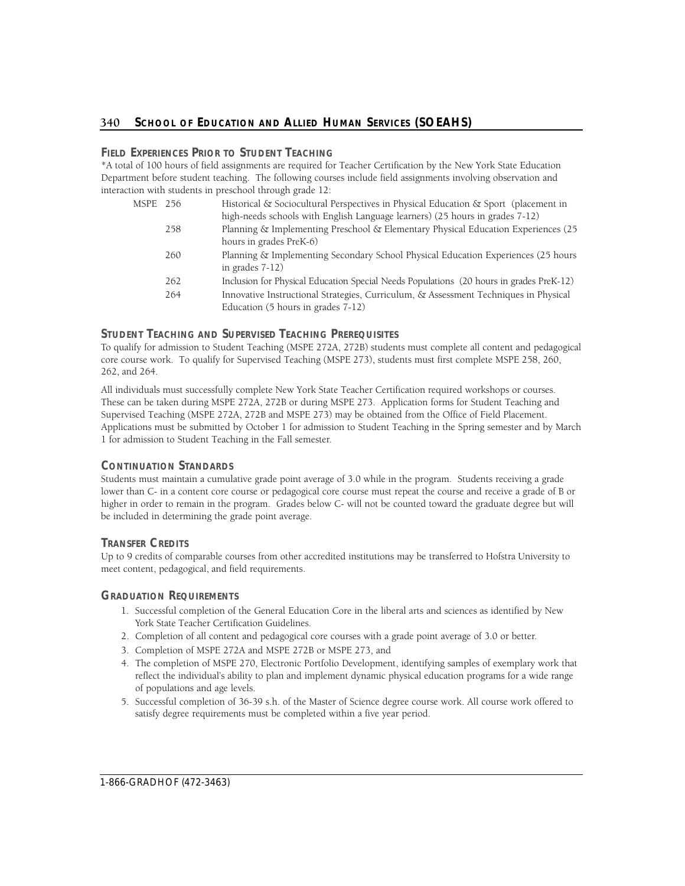# 340 SCHOOL OF EDUCATION AND ALLIED HUMAN SERVICES (SOEAHS)

# **FIELD EXPERIENCES PRIOR TO STUDENT TEACHING**

\*A total of 100 hours of field assignments are required for Teacher Certification by the New York State Education Department before student teaching. The following courses include field assignments involving observation and interaction with students in preschool through grade 12:

- MSPE 256 Historical & Sociocultural Perspectives in Physical Education & Sport (placement in high-needs schools with English Language learners) (25 hours in grades 7-12) 258 Planning & Implementing Preschool & Elementary Physical Education Experiences (25 hours in grades PreK-6) 260 Planning & Implementing Secondary School Physical Education Experiences (25 hours
	- in grades 7-12)
	- 262 Inclusion for Physical Education Special Needs Populations (20 hours in grades PreK-12)
	- 264 Innovative Instructional Strategies, Curriculum, & Assessment Techniques in Physical Education (5 hours in grades 7-12)

# **STUDENT TEACHING AND SUPERVISED TEACHING PREREQUISITES**

To qualify for admission to Student Teaching (MSPE 272A, 272B) students must complete all content and pedagogical core course work. To qualify for Supervised Teaching (MSPE 273), students must first complete MSPE 258, 260, 262, and 264.

All individuals must successfully complete New York State Teacher Certification required workshops or courses. These can be taken during MSPE 272A, 272B or during MSPE 273. Application forms for Student Teaching and Supervised Teaching (MSPE 272A, 272B and MSPE 273) may be obtained from the Office of Field Placement. Applications must be submitted by October 1 for admission to Student Teaching in the Spring semester and by March 1 for admission to Student Teaching in the Fall semester.

# **CONTINUATION STANDARDS**

Students must maintain a cumulative grade point average of 3.0 while in the program. Students receiving a grade lower than C- in a content core course or pedagogical core course must repeat the course and receive a grade of B or higher in order to remain in the program. Grades below C- will not be counted toward the graduate degree but will be included in determining the grade point average.

# **TRANSFER CREDITS**

Up to 9 credits of comparable courses from other accredited institutions may be transferred to Hofstra University to meet content, pedagogical, and field requirements.

# **GRADUATION REQUIREMENTS**

- 1. Successful completion of the General Education Core in the liberal arts and sciences as identified by New York State Teacher Certification Guidelines.
- 2. Completion of all content and pedagogical core courses with a grade point average of 3.0 or better.
- 3. Completion of MSPE 272A and MSPE 272B or MSPE 273, and
- 4. The completion of MSPE 270, Electronic Portfolio Development, identifying samples of exemplary work that reflect the individual's ability to plan and implement dynamic physical education programs for a wide range of populations and age levels.
- 5. Successful completion of 36-39 s.h. of the Master of Science degree course work. All course work offered to satisfy degree requirements must be completed within a five year period.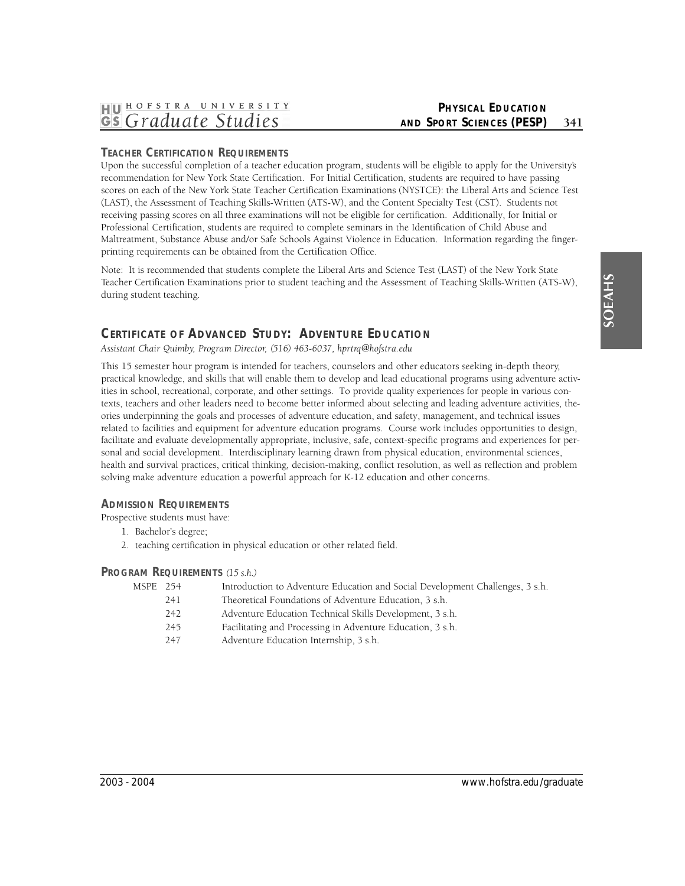# **PHYSICAL EDUCATION AND SPORT SCIENCES (PESP)** 341

# **TEACHER CERTIFICATION REQUIREMENTS**

Upon the successful completion of a teacher education program, students will be eligible to apply for the University's recommendation for New York State Certification. For Initial Certification, students are required to have passing scores on each of the New York State Teacher Certification Examinations (NYSTCE): the Liberal Arts and Science Test (LAST), the Assessment of Teaching Skills-Written (ATS-W), and the Content Specialty Test (CST). Students not receiving passing scores on all three examinations will not be eligible for certification. Additionally, for Initial or Professional Certification, students are required to complete seminars in the Identification of Child Abuse and Maltreatment, Substance Abuse and/or Safe Schools Against Violence in Education. Information regarding the fingerprinting requirements can be obtained from the Certification Office.

Note: It is recommended that students complete the Liberal Arts and Science Test (LAST) of the New York State Teacher Certification Examinations prior to student teaching and the Assessment of Teaching Skills-Written (ATS-W), during student teaching.

# **CERTIFICATE OF ADVANCED STUDY: ADVENTURE EDUCATION**

*Assistant Chair Quimby, Program Dire c t o r, (516) 463-6037, hprt rq@hofstra.edu* 

This 15 semester hour program is intended for teachers, counselors and other educators seeking in-depth theory, practical knowledge, and skills that will enable them to develop and lead educational programs using adventure activities in school, recreational, corporate, and other settings. To provide quality experiences for people in various contexts, teachers and other leaders need to become better informed about selecting and leading adventure activities, theories underpinning the goals and processes of adventure education, and safety, management, and technical issues related to facilities and equipment for adventure education programs. Course work includes opportunities to design, facilitate and evaluate developmentally appropriate, inclusive, safe, context-specific programs and experiences for personal and social development. Interdisciplinary learning drawn from physical education, environmental sciences, health and survival practices, critical thinking, decision-making, conflict resolution, as well as reflection and problem solving make adventure education a powerful approach for K-12 education and other concerns.

# **ADMISSION REQUIREMENTS**

Prospective students must have:

- 1. Bachelor's degree;
- 2. teaching certification in physical education or other related field.

# **PROGRAM REQUIREMENTS** *(15 s.h.)*

| MSPE 254 |     | Introduction to Adventure Education and Social Development Challenges, 3 s.h. |
|----------|-----|-------------------------------------------------------------------------------|
|          | 241 | Theoretical Foundations of Adventure Education, 3 s.h.                        |
|          | 242 | Adventure Education Technical Skills Development, 3 s.h.                      |
|          | 245 | Facilitating and Processing in Adventure Education, 3 s.h.                    |
|          | 247 | Adventure Education Internship, 3 s.h.                                        |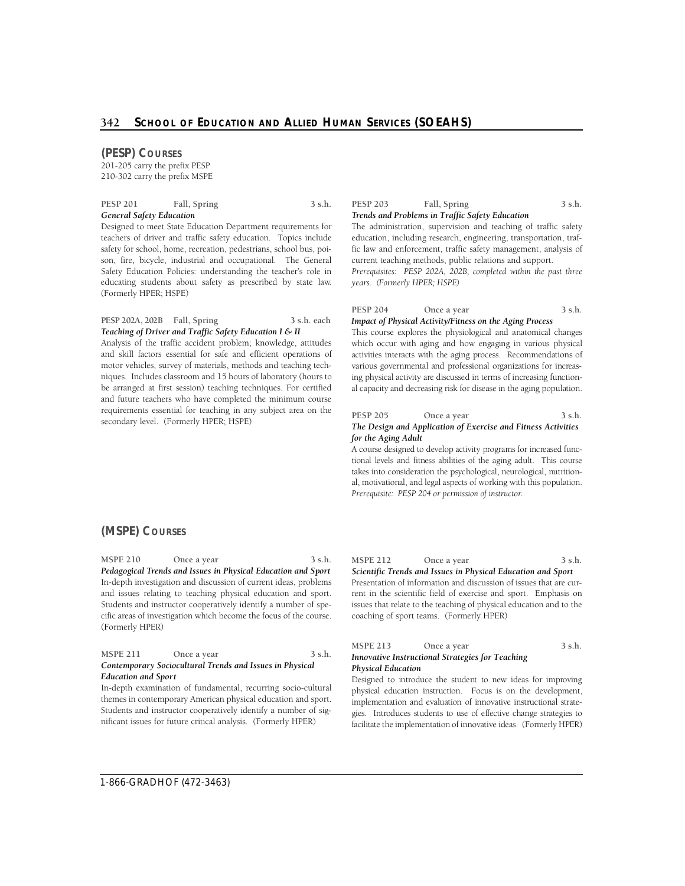## **(PESP) COURSES**

201-205 carry the prefix PESP 210-302 carry the prefix MSPE

PESP 201 Fall, Spring 3 s.h. *General Safety Education* 

Designed to meet State Education Department requirements for teachers of driver and traffic safety education. Topics include safety for school, home, recreation, pedestrians, school bus, poison, fire, bicycle, industrial and occupational. The General Safety Education Policies: understanding the teacher's role in educating students about safety as prescribed by state law. (Formerly HPER; HSPE)

**PESP 202A, 202B Fall, Spring 3 s.h. each**  *Teaching of Driver and Traffic Safety Education I & II* 

Analysis of the traffic accident problem; knowledge, attitudes and skill factors essential for safe and efficient operations of motor vehicles, survey of materials, methods and teaching techniques. Includes classroom and 15 hours of laboratory (hours to be arranged at first session) teaching techniques. For certified and future teachers who have completed the minimum course requirements essential for teaching in any subject area on the secondary level. (Formerly HPER; HSPE)

PESP 203 Fall, Spring 3 s.h. *Trends and Problems in Traffic Safety Education* 

The administration, supervision and teaching of traffic safety education, including research, engineering, transportation, traffic law and enforcement, traffic safety management, analysis of current teaching methods, public relations and support. *Prerequisites: PESP 202A, 202B, completed within the past three* 

*years. (Formerly HPER; HSPE)* 

#### PESP 204 Once a year 3 s.h. *Impact of Physical Activity/Fitness on the Aging Process*

 This course explores the physiological and anatomical changes which occur with aging and how engaging in various physical activities interacts with the aging process. Recommendations of various governmental and professional organizations for increas- ing physical activity are discussed in terms of increasing functional capacity and decreasing risk for disease in the aging population.

#### PESP 205 Once a year 3 s.h. *The Design and Application of Exercise and Fitness Activities for the Aging Adult*

 tional levels and fitness abilities of the aging adult. This course takes into consideration the psychological, neurological, nutrition-A course designed to develop activity programs for increased funcal, motivational, and legal aspects of working with this population. *Prerequisite: PESP 204 or permission of instructor.* 

# **(MSPE) COURSES**

MSPE 210 Once a year 3 s.h. *Pedagogical Trends and Issues in Physical Education and Sport*  In-depth investigation and discussion of current ideas, problems and issues relating to teaching physical education and sport. Students and instructor cooperatively identify a number of specific areas of investigation which become the focus of the course. (Formerly HPER)

| <b>MSPE 211</b>            | Once a year                                              | 3 s.h. |
|----------------------------|----------------------------------------------------------|--------|
|                            | Contemporary Sociocultural Trends and Issues in Physical |        |
| <b>Education and Sport</b> |                                                          |        |

In-depth examination of fundamental, recurring socio-cultural themes in contemporary American physical education and sport. Students and instructor cooperatively identify a number of significant issues for future critical analysis. (Formerly HPER)

MSPE 212 Once a year 3 s.h. *Scientific Trends and Issues in Physical Education and Sport*  Presentation of information and discussion of issues that are current in the scientific field of exercise and sport. Emphasis on issues that relate to the teaching of physical education and to the

#### MSPE 213 Once a year 3 s.h. *Innovative Instructional Strategies for Teaching Physical Education*

coaching of sport teams. (Formerly HPER)

Designed to introduce the student to new ideas for improving physical education instruction. Focus is on the development, implementation and evaluation of innovative instructional strate- gies. Introduces students to use of effective change strategies to facilitate the implementation of innovative ideas. (Formerly HPER)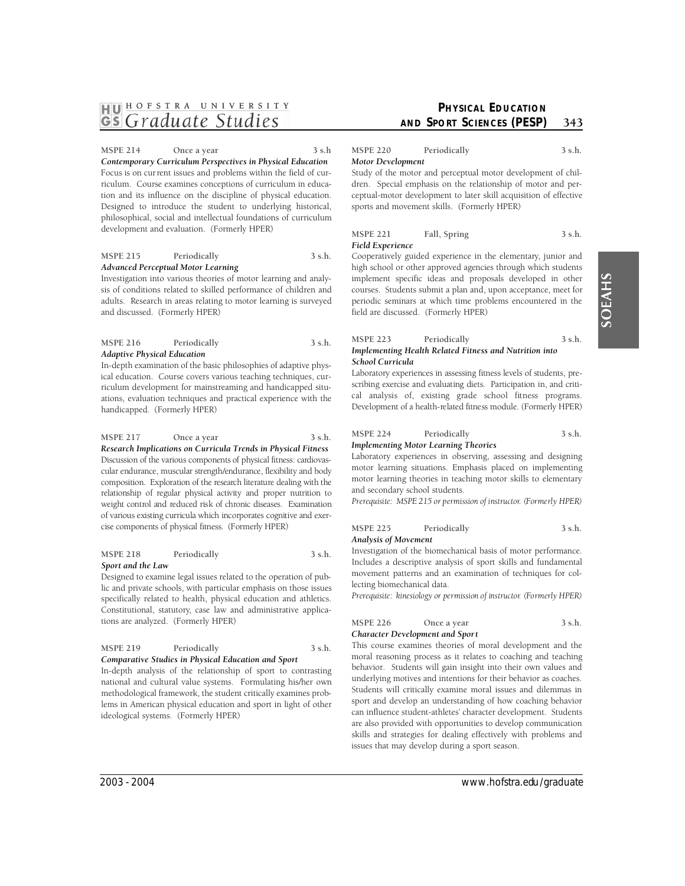# **SOEAHS**

# HU <sup>HOFSTRA</sup> UNIVERSITY

MSPE 214 Once a year 3 s.h *Contemporary Curriculum Perspectives in Physical Education*  Focus is on current issues and problems within the field of curriculum. Course examines conceptions of curriculum in education and its influence on the discipline of physical education. Designed to introduce the student to underlying historical, philosophical, social and intellectual foundations of curriculum development and evaluation. (Formerly HPER)

#### **MSPE 215 Periodically 3 s.h.**  *Advanced Perceptual Motor Learning*

Investigation into various theories of motor learning and analysis of conditions related to skilled performance of children and adults. Research in areas relating to motor learning is surveyed and discussed. (Formerly HPER)

# **MSPE 216 Periodically 3 s.h.**  *Adaptive Physical Education*

In-depth examination of the basic philosophies of adaptive physical education. Course covers various teaching techniques, curriculum development for mainstreaming and handicapped situations, evaluation techniques and practical experience with the handicapped. (Formerly HPER)

# MSPE 217 Once a year 3 s.h.

 weight control and reduced risk of chronic diseases. Examination cise components of physical fitness. (Formerly HPER) *Research Implications on Curricula Trends in Physical Fitness*  Discussion of the various components of physical fitness: cardiovascular endurance, muscular strength/endurance, flexibility and body composition. Exploration of the research literature dealing with the relationship of regular physical activity and proper nutrition to of various existing curricula which incorporates cognitive and exer-

#### **MSPE 218 Periodically 3 s.h.**  *Sport and the Law*

Designed to examine legal issues related to the operation of public and private schools, with particular emphasis on those issues specifically related to health, physical education and athletics. Constitutional, statutory, case law and administrative applications are analyzed. (Formerly HPER)

# **MSPE 219 Periodically 3 s.h.**

*Comparative Studies in Physical Education and Sport*  In-depth analysis of the relationship of sport to contrasting national and cultural value systems. Formulating his/her own methodological framework, the student critically examines problems in American physical education and sport in light of other ideological systems. (Formerly HPER)

# **PHYSICAL EDUCATION AND SPORT SCIENCES (PESP)** 343

**MSPE 220 Periodically 3 s.h.**  *Motor Development* 

Study of the motor and perceptual motor development of children. Special emphasis on the relationship of motor and perceptual-motor development to later skill acquisition of effective sports and movement skills. (Formerly HPER)

#### MSPE 221 Fall, Spring 3 s.h. *Field Experience*

Cooperatively guided experience in the elementary, junior and high school or other approved agencies through which students implement specific ideas and proposals developed in other courses. Students submit a plan and, upon acceptance, meet for periodic seminars at which time problems encountered in the field are discussed. (Formerly HPER)

#### **MSPE 223 Periodically 3 s.h.**  *Implementing Health Related Fitness and Nutrition into School Curricula*

Laboratory experiences in assessing fitness levels of students, pre- scribing exercise and evaluating diets. Participation in, and critical analysis of, existing grade school fitness programs. Development of a health-related fitness module. (Formerly HPER)

# **MSPE 224 Periodically 3 s.h.**  *Implementing Motor Learning Theories*

Laboratory experiences in observing, assessing and designing motor learning situations. Emphasis placed on implementing motor learning theories in teaching motor skills to elementary and secondary school students.

*Prerequisite: MSPE 215 or permission of instructor. (Formerly HPER)* 

| MSPE 225             | Periodically | 3 s.h. |
|----------------------|--------------|--------|
| Analysis of Movement |              |        |

Investigation of the biomechanical basis of motor performance. Includes a descriptive analysis of sport skills and fundamental movement patterns and an examination of techniques for collecting biomechanical data.

*Prerequisite: kinesiology or permission of instructor. (Formerly HPER)* 

| <b>MSPE 226</b> | Once a year                                                                                                                                                                                                                                                                                                                         | 3 s.h. |
|-----------------|-------------------------------------------------------------------------------------------------------------------------------------------------------------------------------------------------------------------------------------------------------------------------------------------------------------------------------------|--------|
|                 | $\mathcal{C}$ $\mathbf{R}$ $\mathbf{R}$ $\mathbf{R}$ $\mathbf{R}$ $\mathbf{R}$ $\mathbf{R}$ $\mathbf{R}$ $\mathbf{R}$ $\mathbf{R}$ $\mathbf{R}$ $\mathbf{R}$ $\mathbf{R}$ $\mathbf{R}$ $\mathbf{R}$ $\mathbf{R}$ $\mathbf{R}$ $\mathbf{R}$ $\mathbf{R}$ $\mathbf{R}$ $\mathbf{R}$ $\mathbf{R}$ $\mathbf{R}$ $\mathbf{R}$ $\mathbf{$ |        |

*Character Development and Sport* 

This course examines theories of moral development and the moral reasoning process as it relates to coaching and teaching behavior. Students will gain insight into their own values and underlying motives and intentions for their behavior as coaches. Students will critically examine moral issues and dilemmas in sport and develop an understanding of how coaching behavior can influence student-athletes' character development. Students are also provided with opportunities to develop communication skills and strategies for dealing effectively with problems and issues that may develop during a sport season.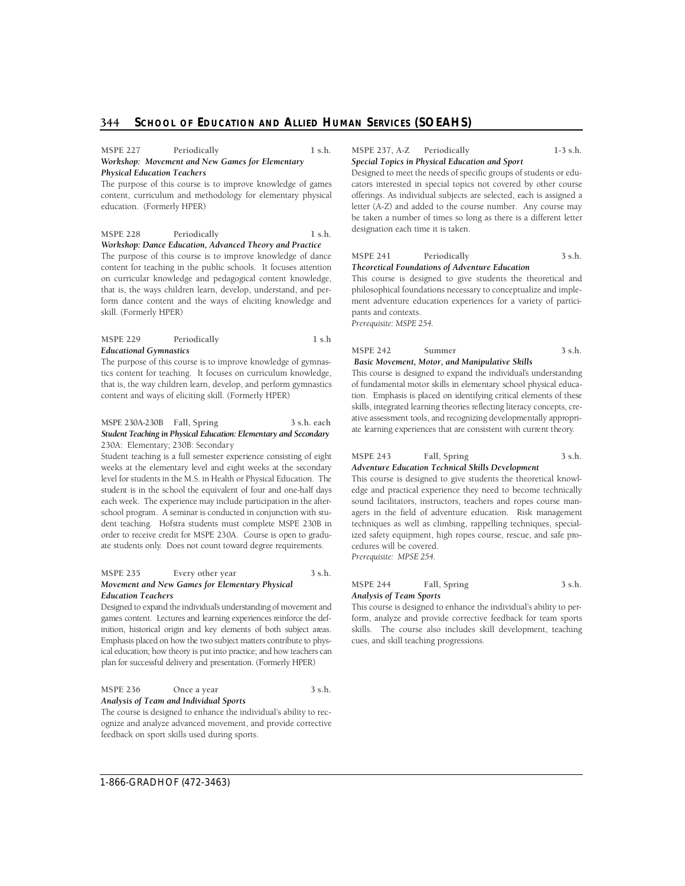# **344 SCHOOL OF EDUCATION AND ALLIED HUMAN SERVICES (SOEAHS)**

#### MSPE 227 Periodically 1 s.h. *Workshop: Movement and New Games for Elementary Physical Education Teachers*

The purpose of this course is to improve knowledge of games content, curriculum and methodology for elementary physical education. (Formerly HPER)

#### MSPE 228 Periodically 1 s.h.

*Workshop: Dance Education, Advanced Theory and Practice*  The purpose of this course is to improve knowledge of dance content for teaching in the public schools. It focuses attention on curricular knowledge and pedagogical content knowledge, that is, the ways children learn, develop, understand, and perform dance content and the ways of eliciting knowledge and skill. (Formerly HPER)

#### **MSPE 229 Periodically 1 s.h**  *Educational Gymnastics*

The purpose of this course is to improve knowledge of gymnastics content for teaching. It focuses on curriculum knowledge, that is, the way children learn, develop, and perform gymnastics content and ways of eliciting skill. (Formerly HPER)

#### **MSPE 230A-230B Fall, Spring 3 s.h. each**  *Student Teaching in Physical Education: Elementary and Secondary*  230A: Elementary; 230B: Secondary

 Student teaching is a full semester experience consisting of eight weeks at the elementary level and eight weeks at the secondary level for students in the M.S. in Health or Physical Education. The student is in the school the equivalent of four and one-half days school program. A seminar is conducted in conjunction with stu- dent teaching. Hofstra students must complete MSPE 230B in order to receive credit for MSPE 230A. Course is open to graduate students only. Does not count toward degree requirements. each week. The experience may include participation in the after-

#### MSPE 235 Every other year 3 s.h. *Movement and New Games for Elementary Physical Education Teachers*

 Designed to expand the individual's understanding of movement and inition, historical origin and key elements of both subject areas. Emphasis placed on how the two subject matters contribute to phys- ical education; how theory is put into practice; and how teachers can games content. Lectures and learning experiences reinforce the defplan for successful delivery and presentation. (Formerly HPER)

MSPE 236 Once a year 3 s.h. *Analysis of Team and Individual Sports* 

The course is designed to enhance the individual's ability to recognize and analyze advanced movement, and provide corrective feedback on sport skills used during sports.

#### **MSPE 237, A-Z Periodically 1-3 s.h.**  *Special Topics in Physical Education and Sport*

Designed to meet the needs of specific groups of students or educators interested in special topics not covered by other course offerings. As individual subjects are selected, each is assigned a letter (A-Z) and added to the course number. Any course may be taken a number of times so long as there is a different letter designation each time it is taken.

#### **MSPE 241 Periodically 3 s.h.**  *Theoretical Foundations of Adventure Education*

This course is designed to give students the theoretical and philosophical foundations necessary to conceptualize and implement adventure education experiences for a variety of participants and contexts.

*Prerequisite: MSPE 254.* 

#### MSPE 242 Summer 3 s.h.

 This course is designed to expand the individual's understanding tion. Emphasis is placed on identifying critical elements of these *Basic Movement, Motor, and Manipulative Skills*  of fundamental motor skills in elementary school physical educaskills, integrated learning theories reflecting literacy concepts, creative assessment tools, and recognizing developmentally appropri-

ate learning experiences that are consistent with current theory.

#### MSPE 243 Fall, Spring 3 s.h. *Adventure Education Technical Skills Development*

This course is designed to give students the theoretical knowledge and practical experience they need to become technically sound facilitators, instructors, teachers and ropes course managers in the field of adventure education. Risk management techniques as well as climbing, rappelling techniques, specialized safety equipment, high ropes course, rescue, and safe procedures will be covered. *Prerequisite: MPSE 254.* 

#### MSPE 244 Fall, Spring 3 s.h. *Analysis of Team Sports*

This course is designed to enhance the individual's ability to perform, analyze and provide corrective feedback for team sports skills. The course also includes skill development, teaching cues, and skill teaching progressions.

1-866-GRADHOF (472-3463)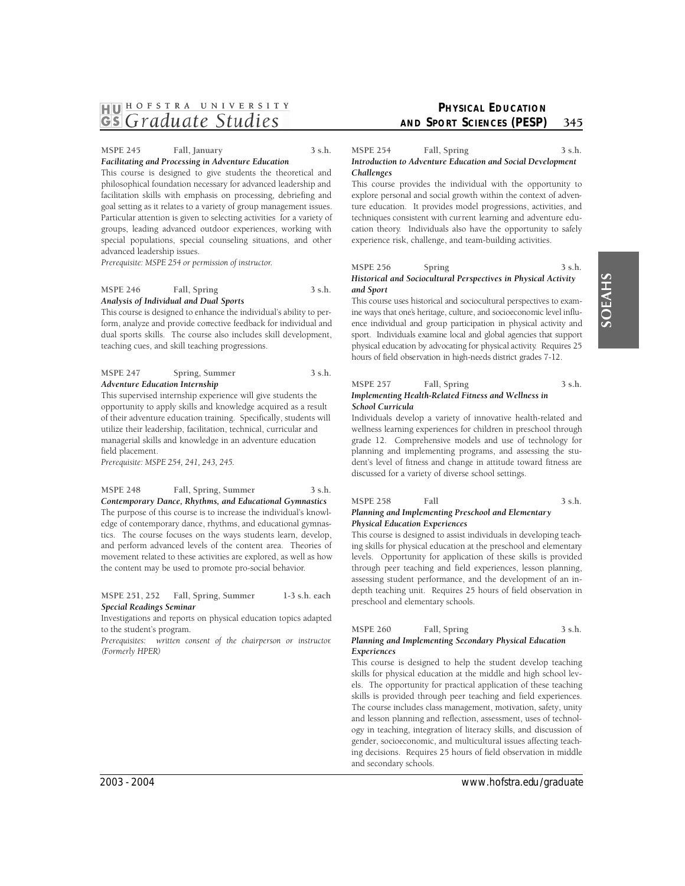# HU <sup>HOFSTRA</sup> UNIVERSITY

#### **MSPE 245 Fall, January 3 s.h.**  *Facilitating and Processing in Adventure Education*

This course is designed to give students the theoretical and philosophical foundation necessary for advanced leadership and facilitation skills with emphasis on processing, debriefing and goal setting as it relates to a variety of group management issues. Particular attention is given to selecting activities for a variety of groups, leading advanced outdoor experiences, working with special populations, special counseling situations, and other advanced leadership issues.

*Prerequisite: MSPE 254 or permission of instructor.* 

#### MSPE 246 Fall, Spring 3 s.h. *Analysis of Individual and Dual Sports*

This course is designed to enhance the individual's ability to perform, analyze and provide corrective feedback for individual and dual sports skills. The course also includes skill development, teaching cues, and skill teaching progressions.

#### MSPE 247 Spring, Summer 3 s.h. *Adventure Education Internship*

This supervised internship experience will give students the opportunity to apply skills and knowledge acquired as a result of their adventure education training. Specifically, students will utilize their leadership, facilitation, technical, curricular and managerial skills and knowledge in an adventure education field placement.

*Prerequisite: MSPE 254, 241, 243, 245.* 

#### **MSPE 248 Fall, Spring, Summer 3 s.h.**  *Contemporary Dance, Rhythms, and Educational Gymnastics*

The purpose of this course is to increase the individual's knowledge of contemporary dance, rhythms, and educational gymnastics. The course focuses on the ways students learn, develop, and perform advanced levels of the content area. Theories of movement related to these activities are explored, as well as how the content may be used to promote pro-social behavior.

**MSPE 251, 252 Fall, Spring, Summer 1-3 s.h. each**  *Special Readings Seminar* 

Investigations and reports on physical education topics adapted to the student's program.

*Prerequisites: written consent of the chairperson or instructor. (Formerly HPER)* 

# **PHYSICAL EDUCATION AND SPORT SCIENCES (PESP)** 345

#### MSPE 254 Fall, Spring 3 s.h. *Introduction to Adventure Education and Social Development Challenges*

This course provides the individual with the opportunity to explore personal and social growth within the context of adventure education. It provides model progressions, activities, and techniques consistent with current learning and adventure education theory. Individuals also have the opportunity to safely experience risk, challenge, and team-building activities.

**MSPE 256** Spring 3 s.h.

#### *Historical and Sociocultural Perspectives in Physical Activity and Sport*

 ence individual and group participation in physical activity and sport. Individuals examine local and global agencies that support physical education by advocating for physical activity. Requires 25 This course uses historical and sociocultural perspectives to examine ways that one's heritage, culture, and socioeconomic level influhours of field observation in high-needs district grades 7-12.

#### MSPE 257 Fall, Spring 3 s.h. *Implementing Health-Related Fitness and Wellness in School Curricula*

Individuals develop a variety of innovative health-related and wellness learning experiences for children in preschool through grade 12. Comprehensive models and use of technology for planning and implementing programs, and assessing the student's level of fitness and change in attitude toward fitness are discussed for a variety of diverse school settings.

#### **MSPE 258 Fall 3 s.h.**  *Planning and Implementing Preschool and Elementary Physical Education Experiences*

This course is designed to assist individuals in developing teaching skills for physical education at the preschool and elementary levels. Opportunity for application of these skills is provided through peer teaching and field experiences, lesson planning, assessing student performance, and the development of an indepth teaching unit. Requires 25 hours of field observation in preschool and elementary schools.

*Planning and Implementing Secondary Physical Education Experiences* 

This course is designed to help the student develop teaching skills for physical education at the middle and high school levels. The opportunity for practical application of these teaching skills is provided through peer teaching and field experiences. The course includes class management, motivation, safety, unity and lesson planning and reflection, assessment, uses of technology in teaching, integration of literacy skills, and discussion of gender, socioeconomic, and multicultural issues affecting teaching decisions. Requires 25 hours of field observation in middle and secondary schools.

MSPE 260 Fall, Spring 3 s.h.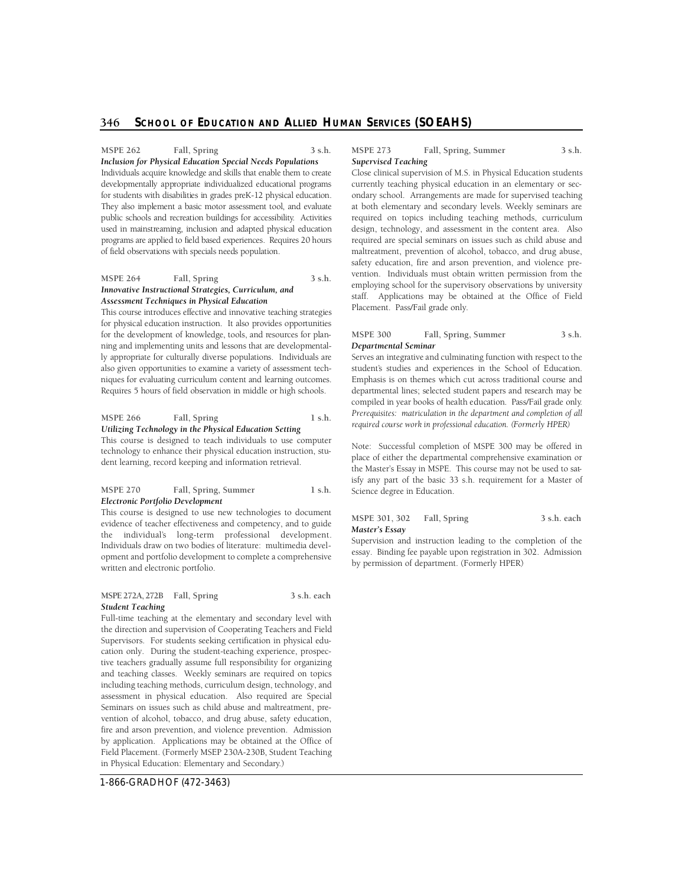# **346 SCHOOL OF EDUCATION AND ALLIED HUMAN SERVICES (SOEAHS)**

MSPE 262 Fall, Spring 3 s.h.

 for students with disabilities in grades preK-12 physical education. They also implement a basic motor assessment tool, and evaluate public schools and recreation buildings for accessibility. Activities *Inclusion for Physical Education Special Needs Populations*  Individuals acquire knowledge and skills that enable them to create developmentally appropriate individualized educational programs used in mainstreaming, inclusion and adapted physical education p rograms are applied to field based experiences. Requires 20 hours of field observations with specials needs population.

#### MSPE 264 Fall, Spring 3 s.h. *Innovative Instructional Strategies, Curriculum, and Assessment Techniques in Physical Education*

 This course introduces effective and innovative teaching strategies for physical education instruction. It also provides opportunities for the development of knowledge, tools, and resources for plan- ning and implementing units and lessons that are developmental- ly appropriate for culturally diverse populations. Individuals are also given opportunities to examine a variety of assessment tech- niques for evaluating curriculum content and learning outcomes. Requires 5 hours of field observation in middle or high schools.

# MSPE 266 Fall, Spring 1 s.h.

*Utilizing Technology in the Physical Education Setting* 

This course is designed to teach individuals to use computer technology to enhance their physical education instruction, student learning, record keeping and information retrieval.

#### MSPE 270 Fall, Spring, Summer 1 s.h. *Electronic Portfolio Development*

This course is designed to use new technologies to document evidence of teacher effectiveness and competency, and to guide the individual's long-term professional development. Individuals draw on two bodies of literature: multimedia development and portfolio development to complete a comprehensive written and electronic portfolio.

#### **MSPE 272A, 272B Fall, Spring 3 s.h. each**  *Student Teaching*

Full-time teaching at the elementary and secondary level with the direction and supervision of Cooperating Teachers and Field Supervisors. For students seeking certification in physical education only. During the student-teaching experience, prospective teachers gradually assume full responsibility for organizing and teaching classes. Weekly seminars are required on topics including teaching methods, curriculum design, technology, and assessment in physical education. Also required are Special Seminars on issues such as child abuse and maltreatment, prevention of alcohol, tobacco, and drug abuse, safety education, fire and arson prevention, and violence prevention. Admission by application. Applications may be obtained at the Office of Field Placement. (Formerly MSEP 230A-230B, Student Teaching in Physical Education: Elementary and Secondary.)

1-866-GRADHOF (472-3463)

#### MSPE 273 Fall, Spring, Summer 3 s.h. *Supervised Teaching*

Close clinical supervision of M.S. in Physical Education students currently teaching physical education in an elementary or secondary school. Arrangements are made for supervised teaching at both elementary and secondary levels. Weekly seminars are required on topics including teaching methods, curriculum design, technology, and assessment in the content area. Also required are special seminars on issues such as child abuse and maltreatment, prevention of alcohol, tobacco, and drug abuse, safety education, fire and arson prevention, and violence prevention. Individuals must obtain written permission from the employing school for the supervisory observations by university staff. Applications may be obtained at the Office of Field Placement. Pass/Fail grade only.

#### MSPE 300 Fall, Spring, Summer 3 s.h. *Departmental Seminar*

 Emphasis is on themes which cut across traditional course and Serves an integrative and culminating function with respect to the student's studies and experiences in the School of Education. departmental lines; selected student papers and research may be compiled in year books of health education. Pass/Fail grade only. *Prerequisites: matriculation in the department and completion of all required course work in professional education. (Formerly HPER)* 

Note: Successful completion of MSPE 300 may be offered in place of either the departmental comprehensive examination or the Master's Essay in MSPE. This course may not be used to satisfy any part of the basic 33 s.h. requirement for a Master of Science degree in Education.

#### **MSPE 301, 302 Fall, Spring 3 s.h. each**  *Master's Essay*

Supervision and instruction leading to the completion of the essay. Binding fee payable upon registration in 302. Admission by permission of department. (Formerly HPER)